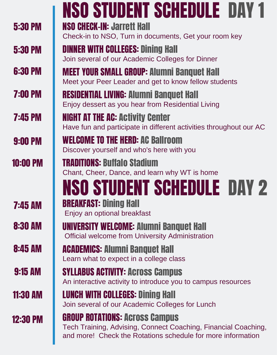|                 | <b>NSO STUDENT SCHEDULE DAY 1</b>                                                                                                                                      |  |  |  |  |  |  |
|-----------------|------------------------------------------------------------------------------------------------------------------------------------------------------------------------|--|--|--|--|--|--|
| <b>5:30 PM</b>  | <b>NSO CHECK-IN: Jarrett Hall</b><br>Check-in to NSO, Turn in documents, Get your room key                                                                             |  |  |  |  |  |  |
| <b>5:30 PM</b>  | <b>DINNER WITH COLLEGES: Dining Hall</b><br>Join several of our Academic Colleges for Dinner                                                                           |  |  |  |  |  |  |
| <b>6:30 PM</b>  | <b>MEET YOUR SMALL GROUP: Alumni Banquet Hall</b><br>Meet your Peer Leader and get to know fellow students                                                             |  |  |  |  |  |  |
| <b>7:00 PM</b>  | <b>RESIDENTIAL LIVING: Alumni Banquet Hall</b><br>Enjoy dessert as you hear from Residential Living                                                                    |  |  |  |  |  |  |
| <b>7:45 PM</b>  | <b>NIGHT AT THE AC: Activity Center</b><br>Have fun and participate in different activities throughout our AC                                                          |  |  |  |  |  |  |
| <b>9:00 PM</b>  | <b>WELCOME TO THE HERD: AC Ballroom</b><br>Discover yourself and who's here with you                                                                                   |  |  |  |  |  |  |
| <b>10:00 PM</b> | <b>TRADITIONS: Buffalo Stadium</b><br>Chant, Cheer, Dance, and learn why WT is home                                                                                    |  |  |  |  |  |  |
|                 | <b>NSO STUDENT SCHEDULE DAY 2</b>                                                                                                                                      |  |  |  |  |  |  |
| <b>7:45 AM</b>  | <b>BREAKFAST: Dining Hall</b><br>Enjoy an optional breakfast                                                                                                           |  |  |  |  |  |  |
| <b>8:30 AM</b>  | UNIVERSITY WELCOME: Alumni Banquet Hall<br><b>Official welcome from University Administration</b>                                                                      |  |  |  |  |  |  |
| <b>8:45 AM</b>  | <b>ACADEMICS: Alumni Banquet Hall</b><br>Learn what to expect in a college class                                                                                       |  |  |  |  |  |  |
| <b>9:15 AM</b>  | <b>SYLLABUS ACTIVITY: ACross Campus</b><br>An interactive activity to introduce you to campus resources                                                                |  |  |  |  |  |  |
| <b>11:30 AM</b> | <b>LUNCH WITH COLLEGES: Dining Hall</b><br>Join several of our Academic Colleges for Lunch                                                                             |  |  |  |  |  |  |
| <b>12:30 PM</b> | <b>GROUP ROTATIONS: ACross Campus</b><br>Tech Training, Advising, Connect Coaching, Financial Coaching,<br>and more! Check the Rotations schedule for more information |  |  |  |  |  |  |